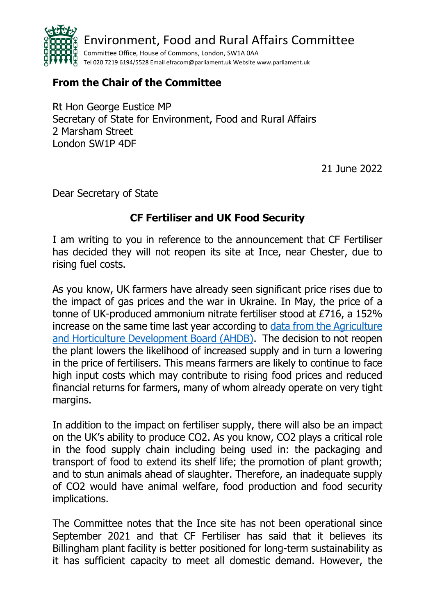

## **From the Chair of the Committee**

Rt Hon George Eustice MP Secretary of State for Environment, Food and Rural Affairs 2 Marsham Street London SW1P 4DF

21 June 2022

Dear Secretary of State

## **CF Fertiliser and UK Food Security**

I am writing to you in reference to the announcement that CF Fertiliser has decided they will not reopen its site at Ince, near Chester, due to rising fuel costs.

As you know, UK farmers have already seen significant price rises due to the impact of gas prices and the war in Ukraine. In May, the price of a tonne of UK-produced ammonium nitrate fertiliser stood at £716, a 152% increase on the same time last year according to [data from the Agriculture](https://ahdb.org.uk/GB-fertiliser-prices)  [and Horticulture Development Board \(AHDB\).](https://ahdb.org.uk/GB-fertiliser-prices) The decision to not reopen the plant lowers the likelihood of increased supply and in turn a lowering in the price of fertilisers. This means farmers are likely to continue to face high input costs which may contribute to rising food prices and reduced financial returns for farmers, many of whom already operate on very tight margins.

In addition to the impact on fertiliser supply, there will also be an impact on the UK's ability to produce CO2. As you know, CO2 plays a critical role in the food supply chain including being used in: the packaging and transport of food to extend its shelf life; the promotion of plant growth; and to stun animals ahead of slaughter. Therefore, an inadequate supply of CO2 would have animal welfare, food production and food security implications.

The Committee notes that the Ince site has not been operational since September 2021 and that CF Fertiliser has said that it believes its Billingham plant facility is better positioned for long-term sustainability as it has sufficient capacity to meet all domestic demand. However, the